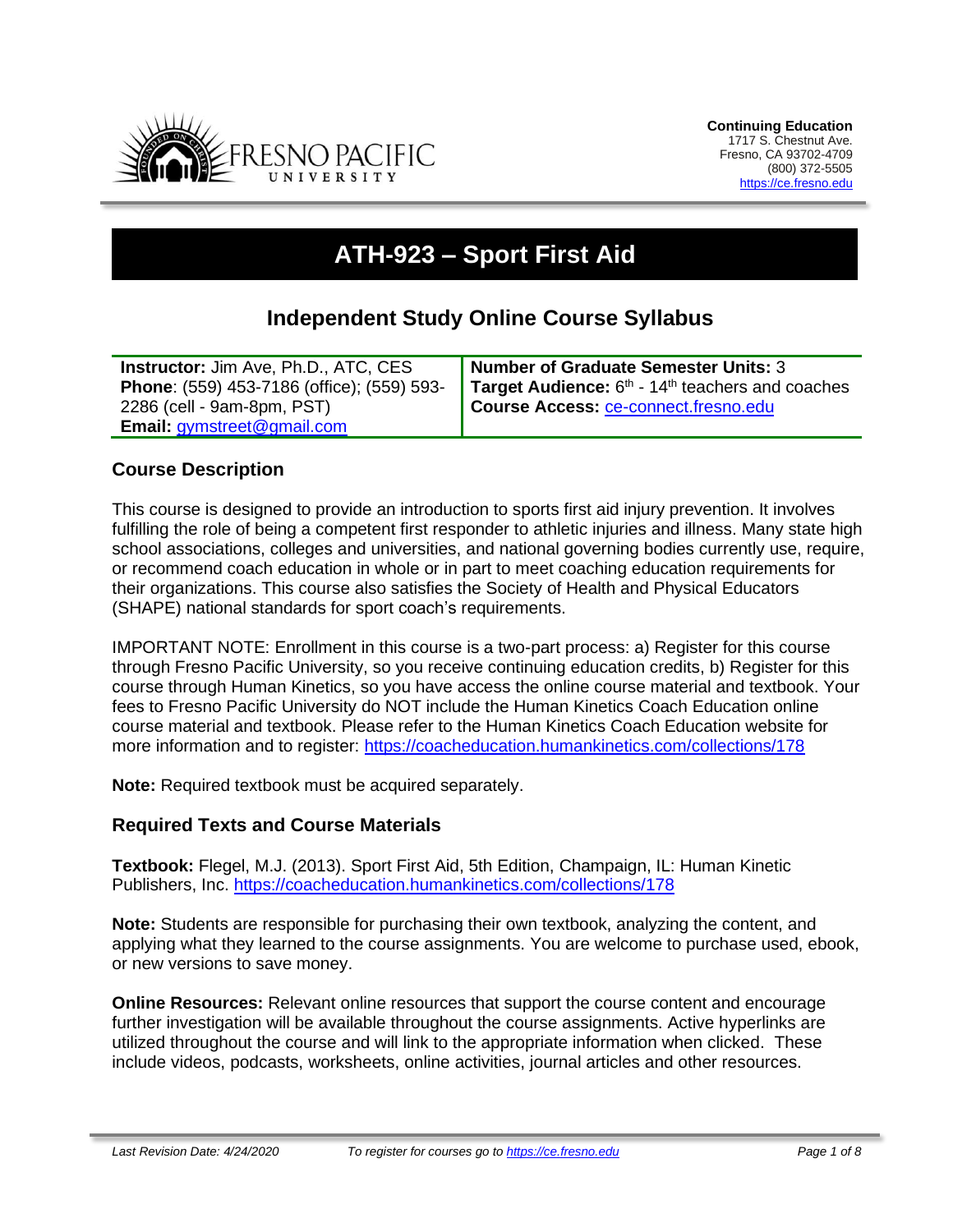

# **ATH-923 – Sport First Aid**

## **Independent Study Online Course Syllabus**

| <b>Instructor:</b> Jim Ave, Ph.D., ATC, CES       | <b>Number of Graduate Semester Units: 3</b>                              |
|---------------------------------------------------|--------------------------------------------------------------------------|
| <b>Phone:</b> (559) 453-7186 (office); (559) 593- | Target Audience: 6 <sup>th</sup> - 14 <sup>th</sup> teachers and coaches |
| 2286 (cell - 9am-8pm, PST)                        | <b>Course Access: ce-connect.fresno.edu</b>                              |
| <b>Email:</b> gymstreet@gmail.com                 |                                                                          |

#### **Course Description**

This course is designed to provide an introduction to sports first aid injury prevention. It involves fulfilling the role of being a competent first responder to athletic injuries and illness. Many state high school associations, colleges and universities, and national governing bodies currently use, require, or recommend coach education in whole or in part to meet coaching education requirements for their organizations. This course also satisfies the Society of Health and Physical Educators (SHAPE) national standards for sport coach's requirements.

IMPORTANT NOTE: Enrollment in this course is a two-part process: a) Register for this course through Fresno Pacific University, so you receive continuing education credits, b) Register for this course through Human Kinetics, so you have access the online course material and textbook. Your fees to Fresno Pacific University do NOT include the Human Kinetics Coach Education online course material and textbook. Please refer to the Human Kinetics Coach Education website for more information and to register:<https://coacheducation.humankinetics.com/collections/178>

**Note:** Required textbook must be acquired separately.

#### **Required Texts and Course Materials**

**Textbook:** Flegel, M.J. (2013). Sport First Aid, 5th Edition, Champaign, IL: Human Kinetic Publishers, Inc.<https://coacheducation.humankinetics.com/collections/178>

**Note:** Students are responsible for purchasing their own textbook, analyzing the content, and applying what they learned to the course assignments. You are welcome to purchase used, ebook, or new versions to save money.

**Online Resources:** Relevant online resources that support the course content and encourage further investigation will be available throughout the course assignments. Active hyperlinks are utilized throughout the course and will link to the appropriate information when clicked. These include videos, podcasts, worksheets, online activities, journal articles and other resources.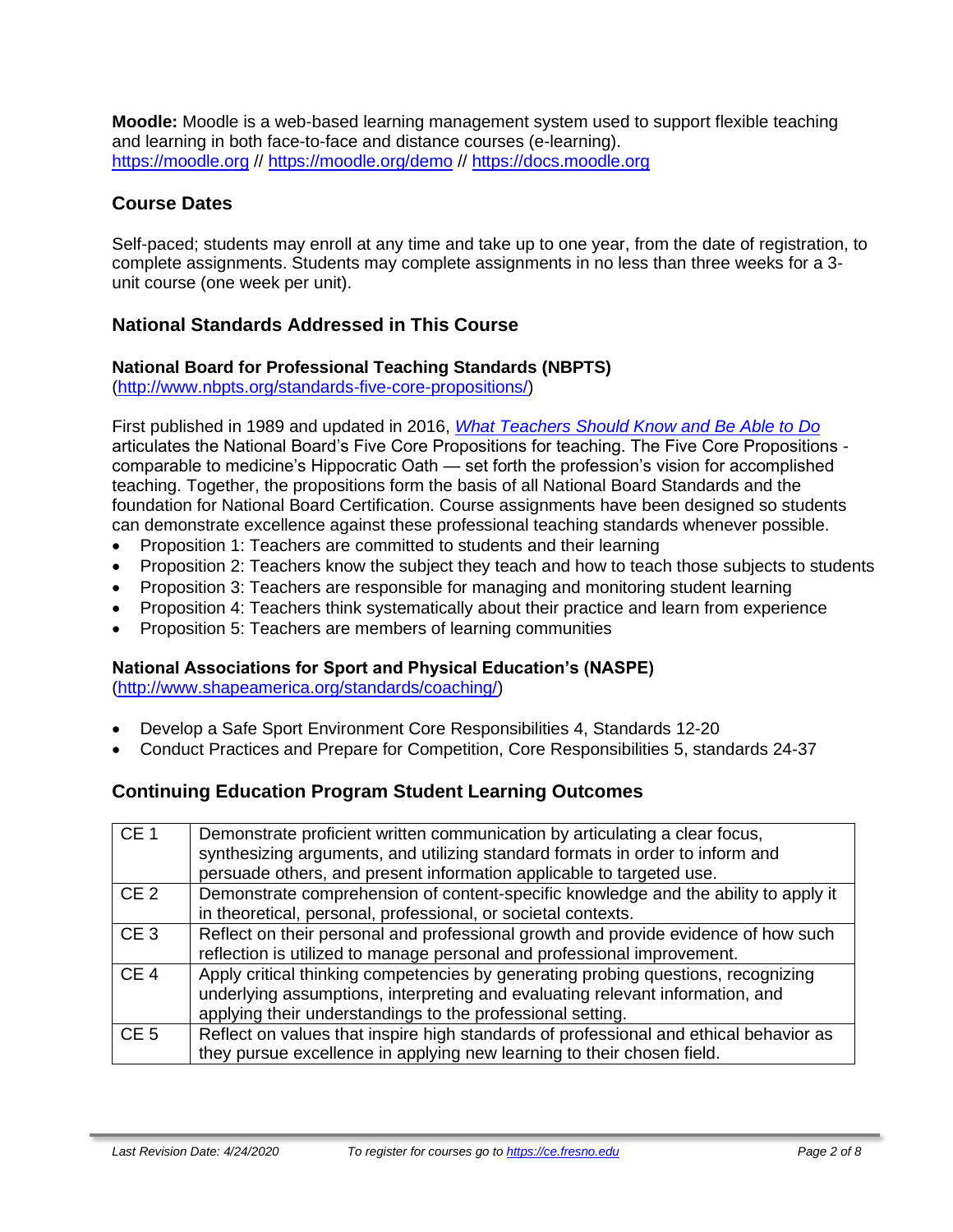**Moodle:** Moodle is a web-based learning management system used to support flexible teaching and learning in both face-to-face and distance courses (e-learning). [https://moodle.org](https://moodle.org/) // <https://moodle.org/demo> // [https://docs.moodle.org](https://docs.moodle.org/)

## **Course Dates**

Self-paced; students may enroll at any time and take up to one year, from the date of registration, to complete assignments. Students may complete assignments in no less than three weeks for a 3 unit course (one week per unit).

## **National Standards Addressed in This Course**

#### **National Board for Professional Teaching Standards (NBPTS)**

[\(http://www.nbpts.org/standards-five-core-propositions/\)](http://www.nbpts.org/standards-five-core-propositions/)

First published in 1989 and updated in 2016, *[What Teachers Should Know and Be Able to Do](http://www.accomplishedteacher.org/)* articulates the National Board's Five Core Propositions for teaching. The Five Core Propositions comparable to medicine's Hippocratic Oath — set forth the profession's vision for accomplished teaching. Together, the propositions form the basis of all National Board Standards and the foundation for National Board Certification. Course assignments have been designed so students can demonstrate excellence against these professional teaching standards whenever possible.

- Proposition 1: Teachers are committed to students and their learning
- Proposition 2: Teachers know the subject they teach and how to teach those subjects to students
- Proposition 3: Teachers are responsible for managing and monitoring student learning
- Proposition 4: Teachers think systematically about their practice and learn from experience
- Proposition 5: Teachers are members of learning communities

## **National Associations for Sport and Physical Education's (NASPE)**

[\(http://www.shapeamerica.org/standards/coaching/\)](http://www.shapeamerica.org/standards/coaching/)

- Develop a Safe Sport Environment Core Responsibilities 4, Standards 12-20
- Conduct Practices and Prepare for Competition, Core Responsibilities 5, standards 24-37

## **Continuing Education Program Student Learning Outcomes**

| CE <sub>1</sub> | Demonstrate proficient written communication by articulating a clear focus,<br>synthesizing arguments, and utilizing standard formats in order to inform and<br>persuade others, and present information applicable to targeted use. |
|-----------------|--------------------------------------------------------------------------------------------------------------------------------------------------------------------------------------------------------------------------------------|
| CE <sub>2</sub> | Demonstrate comprehension of content-specific knowledge and the ability to apply it<br>in theoretical, personal, professional, or societal contexts.                                                                                 |
| CE <sub>3</sub> | Reflect on their personal and professional growth and provide evidence of how such<br>reflection is utilized to manage personal and professional improvement.                                                                        |
| CE <sub>4</sub> | Apply critical thinking competencies by generating probing questions, recognizing<br>underlying assumptions, interpreting and evaluating relevant information, and<br>applying their understandings to the professional setting.     |
| CE <sub>5</sub> | Reflect on values that inspire high standards of professional and ethical behavior as<br>they pursue excellence in applying new learning to their chosen field.                                                                      |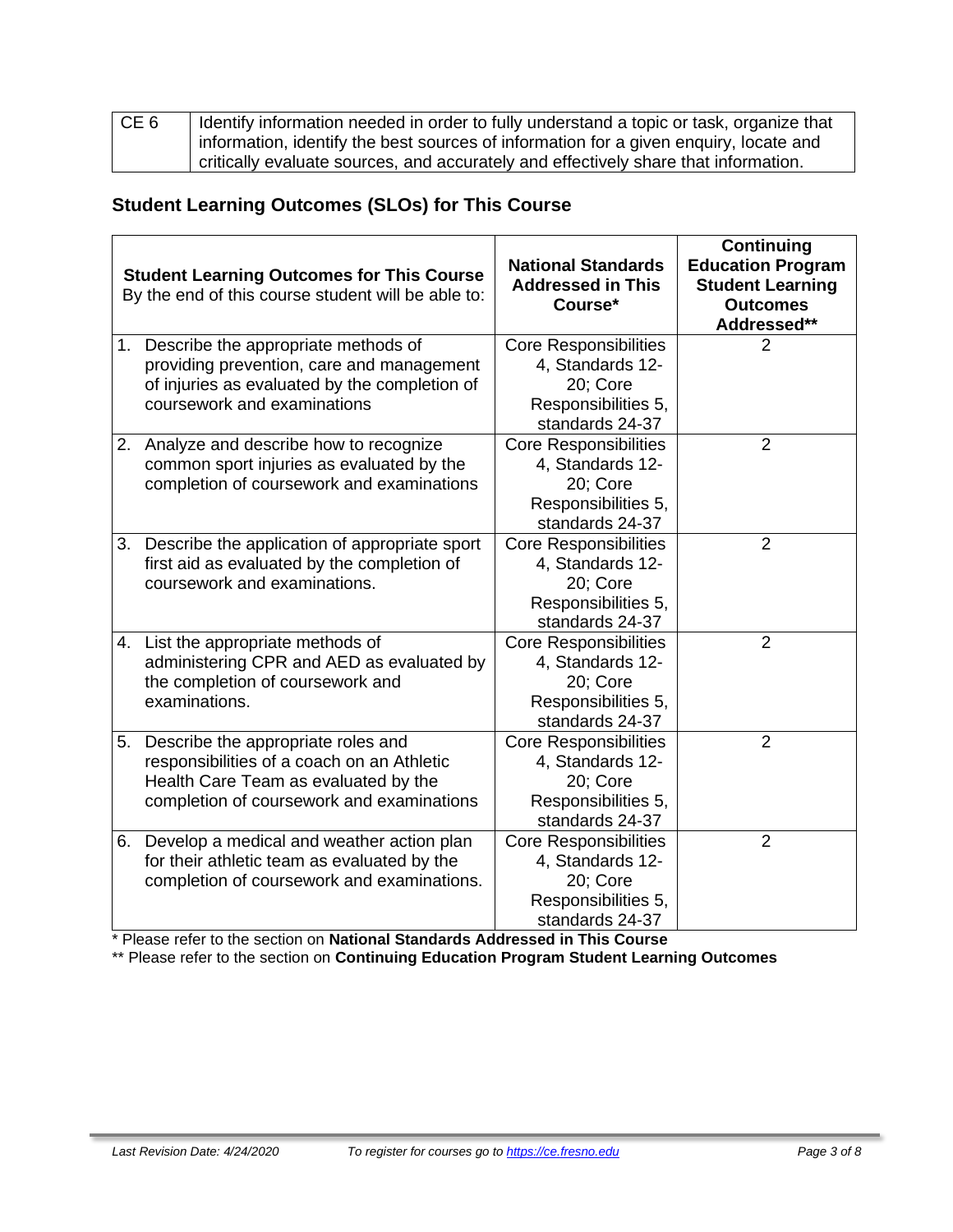| CE <sub>6</sub> | Identify information needed in order to fully understand a topic or task, organize that |
|-----------------|-----------------------------------------------------------------------------------------|
|                 | information, identify the best sources of information for a given enquiry, locate and   |
|                 | critically evaluate sources, and accurately and effectively share that information.     |

## **Student Learning Outcomes (SLOs) for This Course**

|    | <b>Student Learning Outcomes for This Course</b><br>By the end of this course student will be able to:                                                                | <b>National Standards</b><br><b>Addressed in This</b><br>Course*                                       | <b>Continuing</b><br><b>Education Program</b><br><b>Student Learning</b><br><b>Outcomes</b><br>Addressed** |
|----|-----------------------------------------------------------------------------------------------------------------------------------------------------------------------|--------------------------------------------------------------------------------------------------------|------------------------------------------------------------------------------------------------------------|
|    | 1. Describe the appropriate methods of<br>providing prevention, care and management<br>of injuries as evaluated by the completion of<br>coursework and examinations   | <b>Core Responsibilities</b><br>4, Standards 12-<br>20; Core<br>Responsibilities 5,<br>standards 24-37 | 2                                                                                                          |
|    | 2. Analyze and describe how to recognize<br>common sport injuries as evaluated by the<br>completion of coursework and examinations                                    | <b>Core Responsibilities</b><br>4, Standards 12-<br>20; Core<br>Responsibilities 5,<br>standards 24-37 | $\overline{2}$                                                                                             |
|    | 3. Describe the application of appropriate sport<br>first aid as evaluated by the completion of<br>coursework and examinations.                                       | <b>Core Responsibilities</b><br>4, Standards 12-<br>20: Core<br>Responsibilities 5,<br>standards 24-37 | $\overline{2}$                                                                                             |
|    | 4. List the appropriate methods of<br>administering CPR and AED as evaluated by<br>the completion of coursework and<br>examinations.                                  | <b>Core Responsibilities</b><br>4, Standards 12-<br>20; Core<br>Responsibilities 5,<br>standards 24-37 | $\overline{2}$                                                                                             |
| 5. | Describe the appropriate roles and<br>responsibilities of a coach on an Athletic<br>Health Care Team as evaluated by the<br>completion of coursework and examinations | <b>Core Responsibilities</b><br>4, Standards 12-<br>20; Core<br>Responsibilities 5,<br>standards 24-37 | $\overline{2}$                                                                                             |
|    | 6. Develop a medical and weather action plan<br>for their athletic team as evaluated by the<br>completion of coursework and examinations.                             | <b>Core Responsibilities</b><br>4, Standards 12-<br>20; Core<br>Responsibilities 5,<br>standards 24-37 | $\overline{2}$                                                                                             |

\* Please refer to the section on **National Standards Addressed in This Course**

\*\* Please refer to the section on **Continuing Education Program Student Learning Outcomes**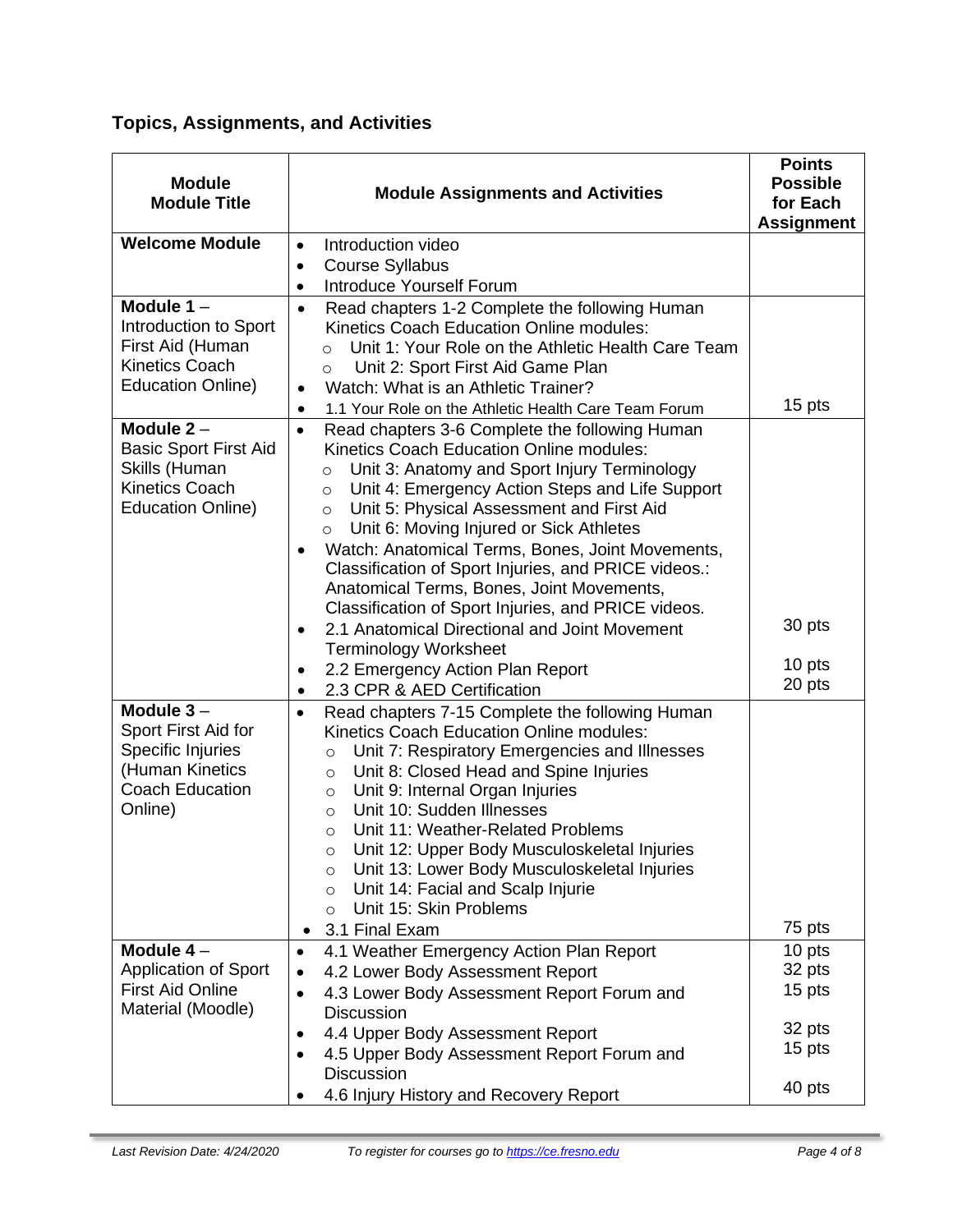## **Topics, Assignments, and Activities**

| <b>Module</b><br><b>Module Title</b>                                                                               | <b>Module Assignments and Activities</b>                                                                                                                                                                                                                                                                                                                                                                                                                                                                                                                                                                                                                                                                                                                                                          | <b>Points</b><br><b>Possible</b><br>for Each<br><b>Assignment</b> |
|--------------------------------------------------------------------------------------------------------------------|---------------------------------------------------------------------------------------------------------------------------------------------------------------------------------------------------------------------------------------------------------------------------------------------------------------------------------------------------------------------------------------------------------------------------------------------------------------------------------------------------------------------------------------------------------------------------------------------------------------------------------------------------------------------------------------------------------------------------------------------------------------------------------------------------|-------------------------------------------------------------------|
| <b>Welcome Module</b>                                                                                              | Introduction video<br>$\bullet$<br><b>Course Syllabus</b><br>$\bullet$<br>Introduce Yourself Forum<br>$\bullet$                                                                                                                                                                                                                                                                                                                                                                                                                                                                                                                                                                                                                                                                                   |                                                                   |
| Module $1 -$<br>Introduction to Sport<br>First Aid (Human<br><b>Kinetics Coach</b><br><b>Education Online)</b>     | Read chapters 1-2 Complete the following Human<br>$\bullet$<br>Kinetics Coach Education Online modules:<br>Unit 1: Your Role on the Athletic Health Care Team<br>$\Omega$<br>Unit 2: Sport First Aid Game Plan<br>$\circ$<br>Watch: What is an Athletic Trainer?<br>$\bullet$                                                                                                                                                                                                                                                                                                                                                                                                                                                                                                                     | 15 pts                                                            |
| Module $2 -$<br><b>Basic Sport First Aid</b><br>Skills (Human<br><b>Kinetics Coach</b><br><b>Education Online)</b> | 1.1 Your Role on the Athletic Health Care Team Forum<br>٠<br>Read chapters 3-6 Complete the following Human<br>$\bullet$<br>Kinetics Coach Education Online modules:<br>Unit 3: Anatomy and Sport Injury Terminology<br>$\circ$<br>Unit 4: Emergency Action Steps and Life Support<br>$\circ$<br>Unit 5: Physical Assessment and First Aid<br>$\circ$<br>Unit 6: Moving Injured or Sick Athletes<br>$\circ$<br>Watch: Anatomical Terms, Bones, Joint Movements,<br>Classification of Sport Injuries, and PRICE videos.:<br>Anatomical Terms, Bones, Joint Movements,<br>Classification of Sport Injuries, and PRICE videos.<br>2.1 Anatomical Directional and Joint Movement<br>$\bullet$<br><b>Terminology Worksheet</b><br>2.2 Emergency Action Plan Report<br>2.3 CPR & AED Certification<br>٠ | 30 pts<br>10 pts<br>20 pts                                        |
| Module $3-$<br>Sport First Aid for<br>Specific Injuries<br>(Human Kinetics<br><b>Coach Education</b><br>Online)    | Read chapters 7-15 Complete the following Human<br>$\bullet$<br>Kinetics Coach Education Online modules:<br>Unit 7: Respiratory Emergencies and Illnesses<br>$\circ$<br>Unit 8: Closed Head and Spine Injuries<br>$\circ$<br>Unit 9: Internal Organ Injuries<br>$\circ$<br>Unit 10: Sudden Illnesses<br>$\circ$<br>Unit 11: Weather-Related Problems<br>$\circ$<br>Unit 12: Upper Body Musculoskeletal Injuries<br>$\circ$<br>Unit 13: Lower Body Musculoskeletal Injuries<br>$\circ$<br>Unit 14: Facial and Scalp Injurie<br>$\circ$<br>Unit 15: Skin Problems<br>$\circ$<br>3.1 Final Exam                                                                                                                                                                                                      | 75 pts                                                            |
| Module $4-$<br><b>Application of Sport</b><br><b>First Aid Online</b><br>Material (Moodle)                         | 4.1 Weather Emergency Action Plan Report<br>$\bullet$<br>4.2 Lower Body Assessment Report<br>4.3 Lower Body Assessment Report Forum and<br><b>Discussion</b><br>4.4 Upper Body Assessment Report<br>4.5 Upper Body Assessment Report Forum and<br><b>Discussion</b><br>4.6 Injury History and Recovery Report                                                                                                                                                                                                                                                                                                                                                                                                                                                                                     | 10 pts<br>32 pts<br>15 pts<br>32 pts<br>15 pts<br>40 pts          |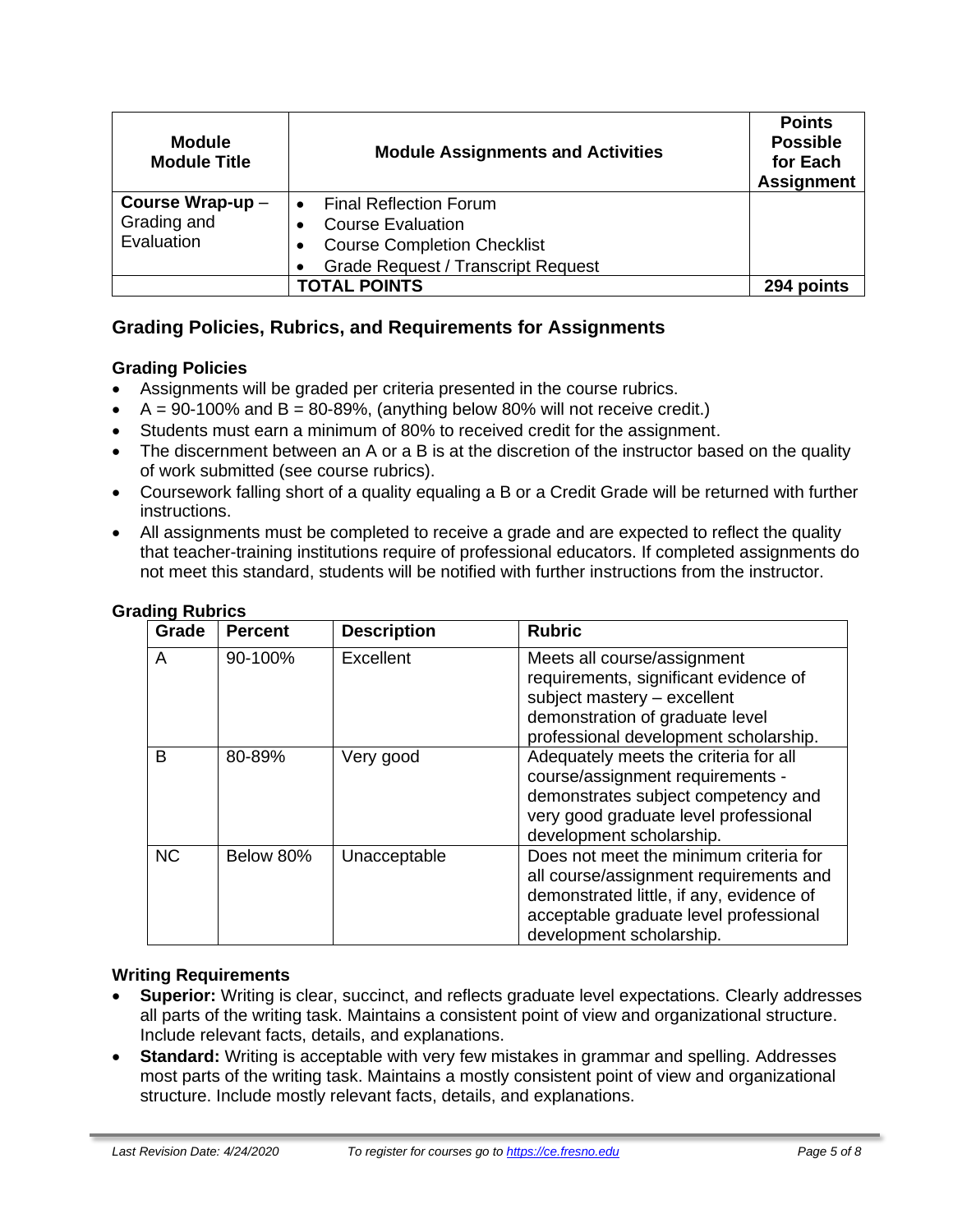| <b>Module</b><br><b>Module Title</b> | <b>Module Assignments and Activities</b>  | <b>Points</b><br><b>Possible</b><br>for Each<br><b>Assignment</b> |
|--------------------------------------|-------------------------------------------|-------------------------------------------------------------------|
| Course Wrap-up-                      | <b>Final Reflection Forum</b>             |                                                                   |
| Grading and                          | <b>Course Evaluation</b>                  |                                                                   |
| Evaluation                           | <b>Course Completion Checklist</b>        |                                                                   |
|                                      | <b>Grade Request / Transcript Request</b> |                                                                   |
| <b>TOTAL POINTS</b>                  |                                           | 294 points                                                        |

## **Grading Policies, Rubrics, and Requirements for Assignments**

#### **Grading Policies**

- Assignments will be graded per criteria presented in the course rubrics.
- $\bullet$  A = 90-100% and B = 80-89%, (anything below 80% will not receive credit.)
- Students must earn a minimum of 80% to received credit for the assignment.
- The discernment between an A or a B is at the discretion of the instructor based on the quality of work submitted (see course rubrics).
- Coursework falling short of a quality equaling a B or a Credit Grade will be returned with further instructions.
- All assignments must be completed to receive a grade and are expected to reflect the quality that teacher-training institutions require of professional educators. If completed assignments do not meet this standard, students will be notified with further instructions from the instructor.

| Grade     | <b>Percent</b> | <b>Description</b> | <b>Rubric</b>                                                                                                                                                                                      |
|-----------|----------------|--------------------|----------------------------------------------------------------------------------------------------------------------------------------------------------------------------------------------------|
| A         | 90-100%        | Excellent          | Meets all course/assignment<br>requirements, significant evidence of<br>subject mastery - excellent<br>demonstration of graduate level<br>professional development scholarship.                    |
| B         | 80-89%         | Very good          | Adequately meets the criteria for all<br>course/assignment requirements -<br>demonstrates subject competency and<br>very good graduate level professional<br>development scholarship.              |
| <b>NC</b> | Below 80%      | Unacceptable       | Does not meet the minimum criteria for<br>all course/assignment requirements and<br>demonstrated little, if any, evidence of<br>acceptable graduate level professional<br>development scholarship. |

#### **Grading Rubrics**

#### **Writing Requirements**

- **Superior:** Writing is clear, succinct, and reflects graduate level expectations. Clearly addresses all parts of the writing task. Maintains a consistent point of view and organizational structure. Include relevant facts, details, and explanations.
- **Standard:** Writing is acceptable with very few mistakes in grammar and spelling. Addresses most parts of the writing task. Maintains a mostly consistent point of view and organizational structure. Include mostly relevant facts, details, and explanations.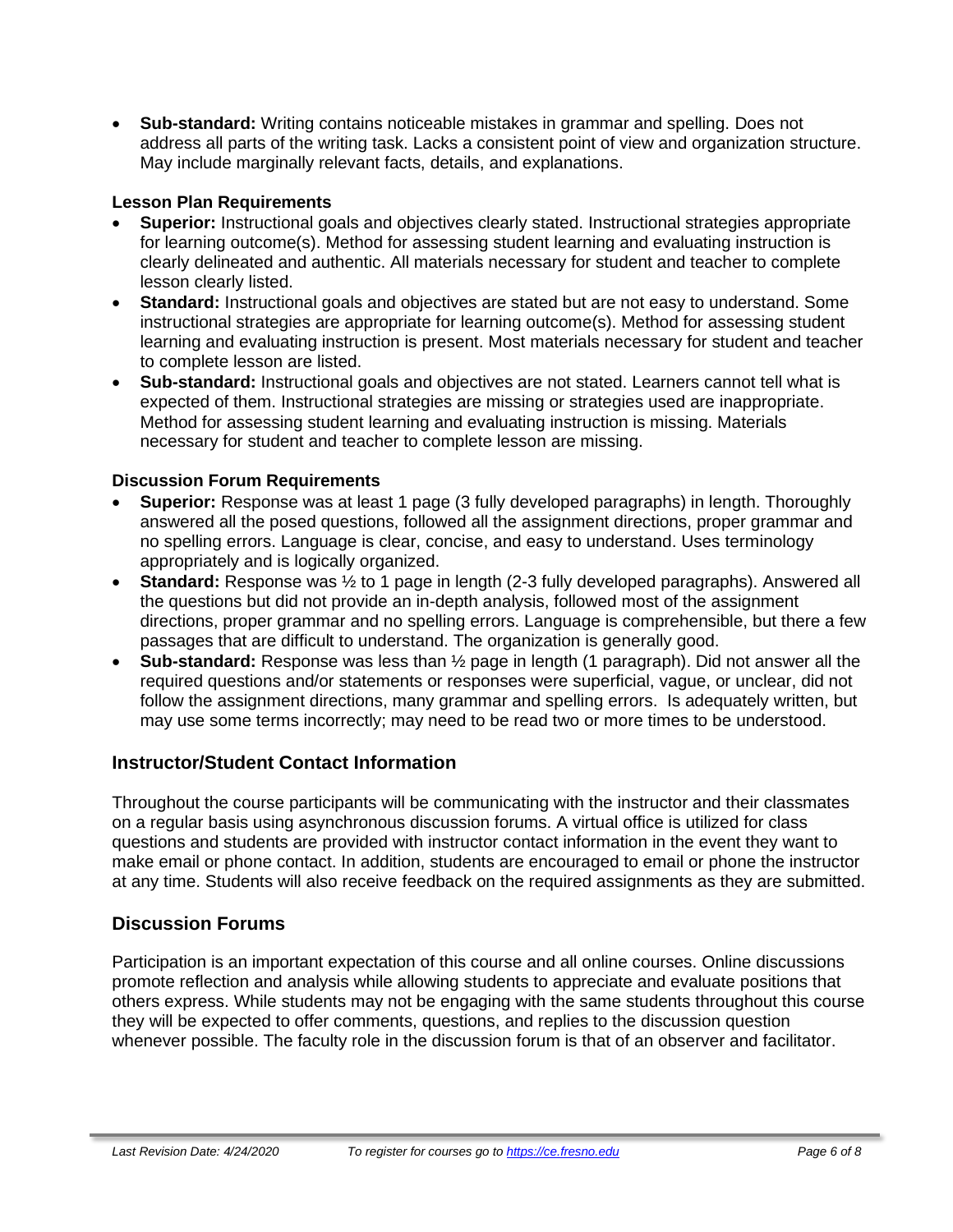• **Sub-standard:** Writing contains noticeable mistakes in grammar and spelling. Does not address all parts of the writing task. Lacks a consistent point of view and organization structure. May include marginally relevant facts, details, and explanations.

#### **Lesson Plan Requirements**

- **Superior:** Instructional goals and objectives clearly stated. Instructional strategies appropriate for learning outcome(s). Method for assessing student learning and evaluating instruction is clearly delineated and authentic. All materials necessary for student and teacher to complete lesson clearly listed.
- **Standard:** Instructional goals and objectives are stated but are not easy to understand. Some instructional strategies are appropriate for learning outcome(s). Method for assessing student learning and evaluating instruction is present. Most materials necessary for student and teacher to complete lesson are listed.
- **Sub-standard:** Instructional goals and objectives are not stated. Learners cannot tell what is expected of them. Instructional strategies are missing or strategies used are inappropriate. Method for assessing student learning and evaluating instruction is missing. Materials necessary for student and teacher to complete lesson are missing.

## **Discussion Forum Requirements**

- **Superior:** Response was at least 1 page (3 fully developed paragraphs) in length. Thoroughly answered all the posed questions, followed all the assignment directions, proper grammar and no spelling errors. Language is clear, concise, and easy to understand. Uses terminology appropriately and is logically organized.
- **Standard:** Response was ½ to 1 page in length (2-3 fully developed paragraphs). Answered all the questions but did not provide an in-depth analysis, followed most of the assignment directions, proper grammar and no spelling errors. Language is comprehensible, but there a few passages that are difficult to understand. The organization is generally good.
- **Sub-standard:** Response was less than ½ page in length (1 paragraph). Did not answer all the required questions and/or statements or responses were superficial, vague, or unclear, did not follow the assignment directions, many grammar and spelling errors. Is adequately written, but may use some terms incorrectly; may need to be read two or more times to be understood.

## **Instructor/Student Contact Information**

Throughout the course participants will be communicating with the instructor and their classmates on a regular basis using asynchronous discussion forums. A virtual office is utilized for class questions and students are provided with instructor contact information in the event they want to make email or phone contact. In addition, students are encouraged to email or phone the instructor at any time. Students will also receive feedback on the required assignments as they are submitted.

## **Discussion Forums**

Participation is an important expectation of this course and all online courses. Online discussions promote reflection and analysis while allowing students to appreciate and evaluate positions that others express. While students may not be engaging with the same students throughout this course they will be expected to offer comments, questions, and replies to the discussion question whenever possible. The faculty role in the discussion forum is that of an observer and facilitator.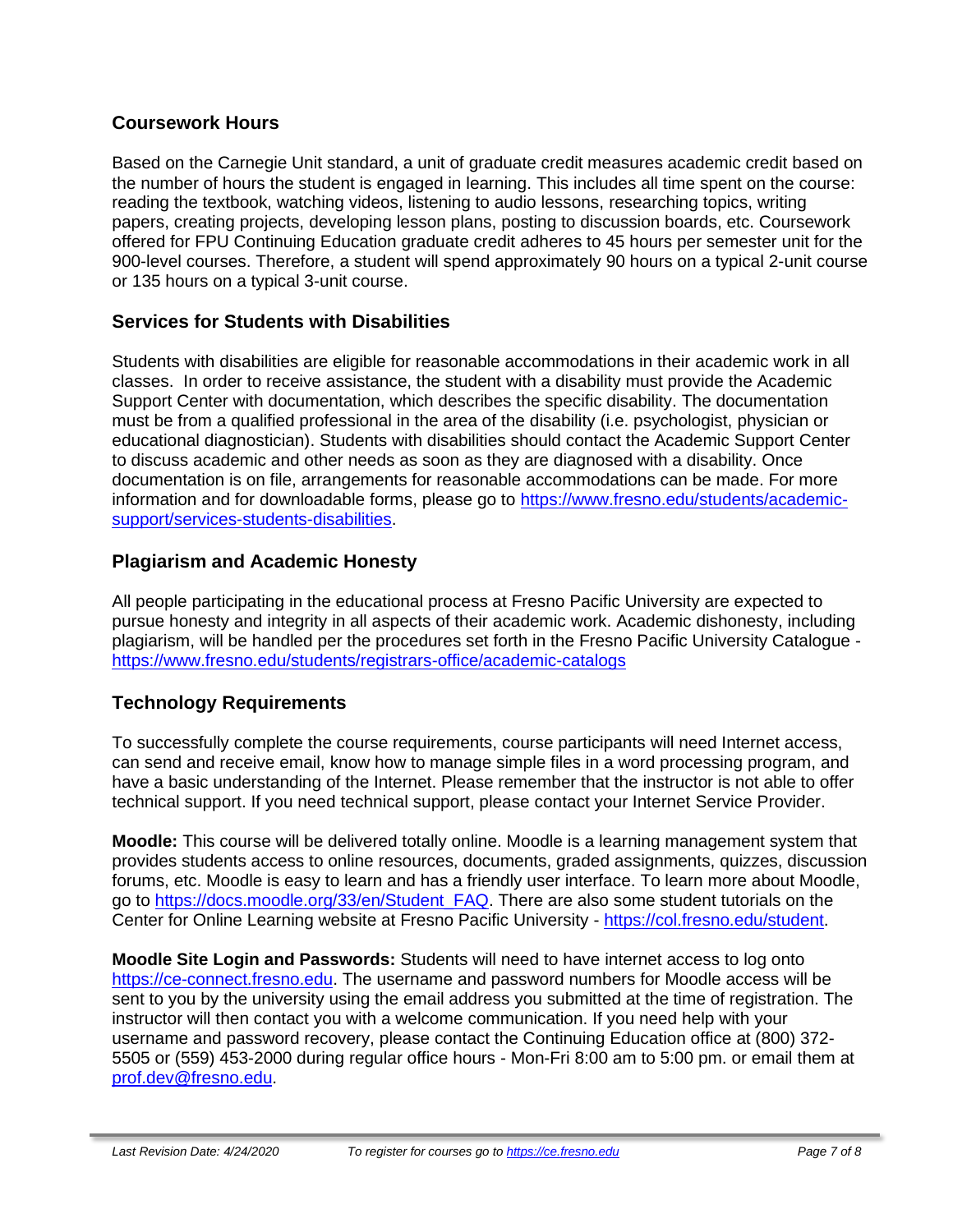## **Coursework Hours**

Based on the Carnegie Unit standard, a unit of graduate credit measures academic credit based on the number of hours the student is engaged in learning. This includes all time spent on the course: reading the textbook, watching videos, listening to audio lessons, researching topics, writing papers, creating projects, developing lesson plans, posting to discussion boards, etc. Coursework offered for FPU Continuing Education graduate credit adheres to 45 hours per semester unit for the 900-level courses. Therefore, a student will spend approximately 90 hours on a typical 2-unit course or 135 hours on a typical 3-unit course.

## **Services for Students with Disabilities**

Students with disabilities are eligible for reasonable accommodations in their academic work in all classes. In order to receive assistance, the student with a disability must provide the Academic Support Center with documentation, which describes the specific disability. The documentation must be from a qualified professional in the area of the disability (i.e. psychologist, physician or educational diagnostician). Students with disabilities should contact the Academic Support Center to discuss academic and other needs as soon as they are diagnosed with a disability. Once documentation is on file, arrangements for reasonable accommodations can be made. For more information and for downloadable forms, please go to [https://www.fresno.edu/students/academic](https://www.fresno.edu/students/academic-support/services-students-disabilities)[support/services-students-disabilities.](https://www.fresno.edu/students/academic-support/services-students-disabilities)

## **Plagiarism and Academic Honesty**

All people participating in the educational process at Fresno Pacific University are expected to pursue honesty and integrity in all aspects of their academic work. Academic dishonesty, including plagiarism, will be handled per the procedures set forth in the Fresno Pacific University Catalogue <https://www.fresno.edu/students/registrars-office/academic-catalogs>

## **Technology Requirements**

To successfully complete the course requirements, course participants will need Internet access, can send and receive email, know how to manage simple files in a word processing program, and have a basic understanding of the Internet. Please remember that the instructor is not able to offer technical support. If you need technical support, please contact your Internet Service Provider.

**Moodle:** This course will be delivered totally online. Moodle is a learning management system that provides students access to online resources, documents, graded assignments, quizzes, discussion forums, etc. Moodle is easy to learn and has a friendly user interface. To learn more about Moodle, go to [https://docs.moodle.org/33/en/Student\\_FAQ.](https://docs.moodle.org/33/en/Student_FAQ) There are also some student tutorials on the Center for Online Learning website at Fresno Pacific University - [https://col.fresno.edu/student.](https://col.fresno.edu/student)

**Moodle Site Login and Passwords:** Students will need to have internet access to log onto [https://ce-connect.fresno.edu.](https://ce-connect.fresno.edu/) The username and password numbers for Moodle access will be sent to you by the university using the email address you submitted at the time of registration. The instructor will then contact you with a welcome communication. If you need help with your username and password recovery, please contact the Continuing Education office at (800) 372- 5505 or (559) 453-2000 during regular office hours - Mon-Fri 8:00 am to 5:00 pm. or email them at [prof.dev@fresno.edu.](mailto:prof.dev@fresno.edu)